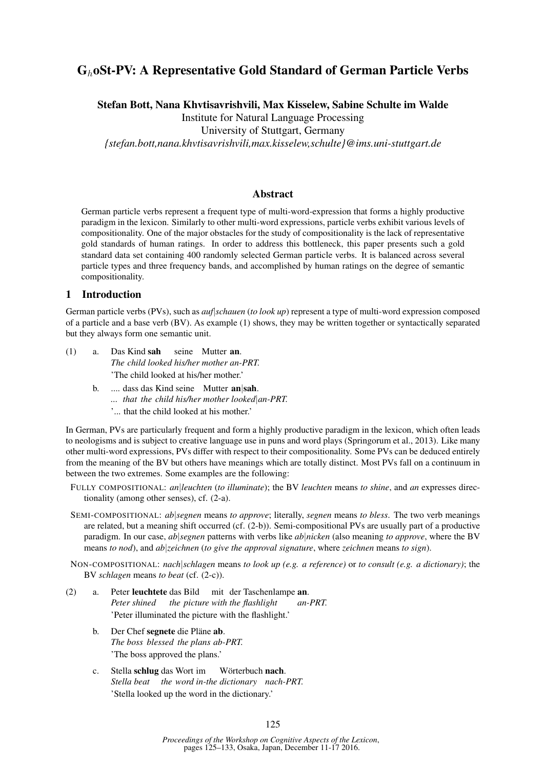# GhoSt-PV: A Representative Gold Standard of German Particle Verbs

Stefan Bott, Nana Khvtisavrishvili, Max Kisselew, Sabine Schulte im Walde

Institute for Natural Language Processing

University of Stuttgart, Germany

*{stefan.bott,nana.khvtisavrishvili,max.kisselew,schulte}@ims.uni-stuttgart.de*

## Abstract

German particle verbs represent a frequent type of multi-word-expression that forms a highly productive paradigm in the lexicon. Similarly to other multi-word expressions, particle verbs exhibit various levels of compositionality. One of the major obstacles for the study of compositionality is the lack of representative gold standards of human ratings. In order to address this bottleneck, this paper presents such a gold standard data set containing 400 randomly selected German particle verbs. It is balanced across several particle types and three frequency bands, and accomplished by human ratings on the degree of semantic compositionality.

## 1 Introduction

German particle verbs (PVs), such as *auf*|*schauen* (*to look up*) represent a type of multi-word expression composed of a particle and a base verb (BV). As example (1) shows, they may be written together or syntactically separated but they always form one semantic unit.

- (1) a. Das Kind sah *The child looked his/her mother an-PRT.* seine Mutter an. 'The child looked at his/her mother.'
	- b. .... dass das Kind seine Mutter an|sah.
		- *... that the child his/her mother looked*|*an-PRT.*
		- '... that the child looked at his mother.'

In German, PVs are particularly frequent and form a highly productive paradigm in the lexicon, which often leads to neologisms and is subject to creative language use in puns and word plays (Springorum et al., 2013). Like many other multi-word expressions, PVs differ with respect to their compositionality. Some PVs can be deduced entirely from the meaning of the BV but others have meanings which are totally distinct. Most PVs fall on a continuum in between the two extremes. Some examples are the following:

- FULLY COMPOSITIONAL: *an*|*leuchten* (*to illuminate*); the BV *leuchten* means *to shine*, and *an* expresses directionality (among other senses), cf. (2-a).
- SEMI-COMPOSITIONAL: *ab*|*segnen* means *to approve*; literally, *segnen* means *to bless*. The two verb meanings are related, but a meaning shift occurred (cf. (2-b)). Semi-compositional PVs are usually part of a productive paradigm. In our case, *ab*|*segnen* patterns with verbs like *ab*|*nicken* (also meaning *to approve*, where the BV means *to nod*), and *ab*|*zeichnen* (*to give the approval signature*, where *zeichnen* means *to sign*).

NON-COMPOSITIONAL: *nach*|*schlagen* means *to look up (e.g. a reference)* or *to consult (e.g. a dictionary)*; the BV *schlagen* means *to beat* (cf. (2-c)).

- (2) a. Peter leuchtete das Bild mit der Taschenlampe an. *Peter shined the picture with the flashlight an-PRT.* 'Peter illuminated the picture with the flashlight.'
	- b. Der Chef segnete die Pläne ab. *The boss blessed the plans ab-PRT.* 'The boss approved the plans.'
	- c. Stella schlug das Wort im *Stella beat the word in-the dictionary nach-PRT.* Wörterbuch nach. 'Stella looked up the word in the dictionary.'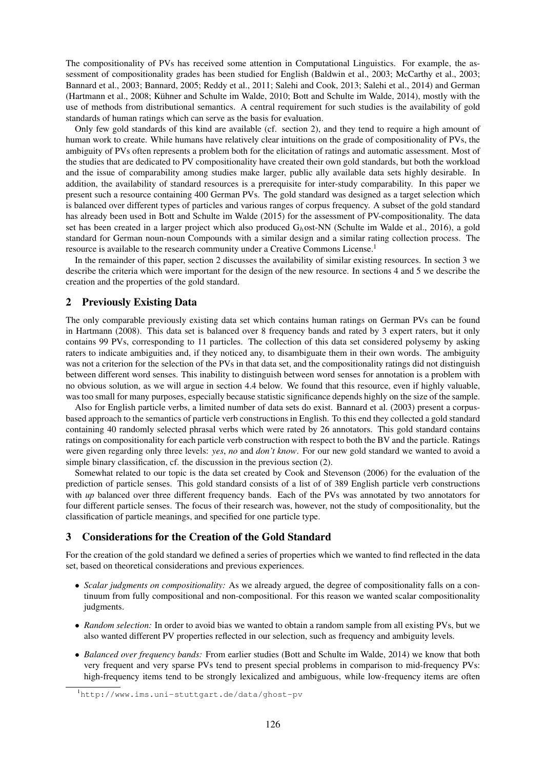The compositionality of PVs has received some attention in Computational Linguistics. For example, the assessment of compositionality grades has been studied for English (Baldwin et al., 2003; McCarthy et al., 2003; Bannard et al., 2003; Bannard, 2005; Reddy et al., 2011; Salehi and Cook, 2013; Salehi et al., 2014) and German (Hartmann et al., 2008; Kühner and Schulte im Walde, 2010; Bott and Schulte im Walde, 2014), mostly with the use of methods from distributional semantics. A central requirement for such studies is the availability of gold standards of human ratings which can serve as the basis for evaluation.

Only few gold standards of this kind are available (cf. section 2), and they tend to require a high amount of human work to create. While humans have relatively clear intuitions on the grade of compositionality of PVs, the ambiguity of PVs often represents a problem both for the elicitation of ratings and automatic assessment. Most of the studies that are dedicated to PV compositionality have created their own gold standards, but both the workload and the issue of comparability among studies make larger, public ally available data sets highly desirable. In addition, the availability of standard resources is a prerequisite for inter-study comparability. In this paper we present such a resource containing 400 German PVs. The gold standard was designed as a target selection which is balanced over different types of particles and various ranges of corpus frequency. A subset of the gold standard has already been used in Bott and Schulte im Walde (2015) for the assessment of PV-compositionality. The data set has been created in a larger project which also produced  $G_h$ ost-NN (Schulte im Walde et al., 2016), a gold standard for German noun-noun Compounds with a similar design and a similar rating collection process. The resource is available to the research community under a Creative Commons License.<sup>1</sup>

In the remainder of this paper, section 2 discusses the availability of similar existing resources. In section 3 we describe the criteria which were important for the design of the new resource. In sections 4 and 5 we describe the creation and the properties of the gold standard.

## 2 Previously Existing Data

The only comparable previously existing data set which contains human ratings on German PVs can be found in Hartmann (2008). This data set is balanced over 8 frequency bands and rated by 3 expert raters, but it only contains 99 PVs, corresponding to 11 particles. The collection of this data set considered polysemy by asking raters to indicate ambiguities and, if they noticed any, to disambiguate them in their own words. The ambiguity was not a criterion for the selection of the PVs in that data set, and the compositionality ratings did not distinguish between different word senses. This inability to distinguish between word senses for annotation is a problem with no obvious solution, as we will argue in section 4.4 below. We found that this resource, even if highly valuable, was too small for many purposes, especially because statistic significance depends highly on the size of the sample.

Also for English particle verbs, a limited number of data sets do exist. Bannard et al. (2003) present a corpusbased approach to the semantics of particle verb constructions in English. To this end they collected a gold standard containing 40 randomly selected phrasal verbs which were rated by 26 annotators. This gold standard contains ratings on compositionality for each particle verb construction with respect to both the BV and the particle. Ratings were given regarding only three levels: *yes*, *no* and *don't know*. For our new gold standard we wanted to avoid a simple binary classification, cf. the discussion in the previous section (2).

Somewhat related to our topic is the data set created by Cook and Stevenson (2006) for the evaluation of the prediction of particle senses. This gold standard consists of a list of of 389 English particle verb constructions with *up* balanced over three different frequency bands. Each of the PVs was annotated by two annotators for four different particle senses. The focus of their research was, however, not the study of compositionality, but the classification of particle meanings, and specified for one particle type.

## 3 Considerations for the Creation of the Gold Standard

For the creation of the gold standard we defined a series of properties which we wanted to find reflected in the data set, based on theoretical considerations and previous experiences.

- *Scalar judgments on compositionality:* As we already argued, the degree of compositionality falls on a continuum from fully compositional and non-compositional. For this reason we wanted scalar compositionality judgments.
- *Random selection:* In order to avoid bias we wanted to obtain a random sample from all existing PVs, but we also wanted different PV properties reflected in our selection, such as frequency and ambiguity levels.
- *Balanced over frequency bands:* From earlier studies (Bott and Schulte im Walde, 2014) we know that both very frequent and very sparse PVs tend to present special problems in comparison to mid-frequency PVs: high-frequency items tend to be strongly lexicalized and ambiguous, while low-frequency items are often

<sup>1</sup>http://www.ims.uni-stuttgart.de/data/ghost-pv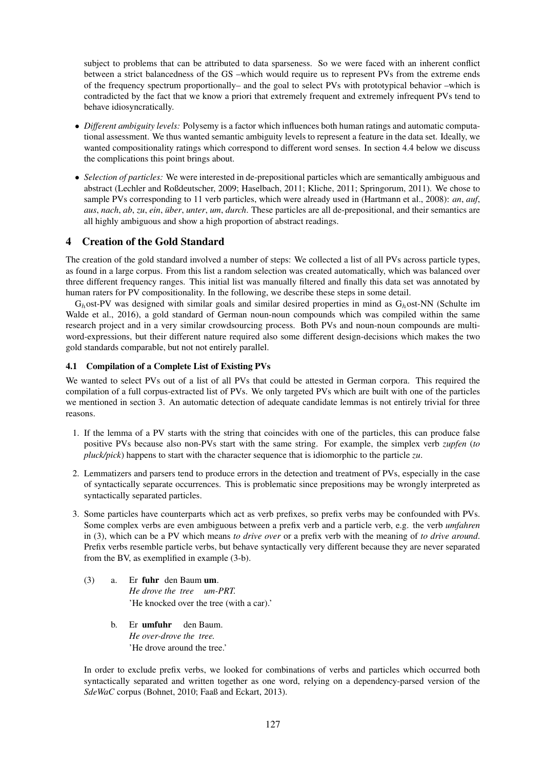subject to problems that can be attributed to data sparseness. So we were faced with an inherent conflict between a strict balancedness of the GS –which would require us to represent PVs from the extreme ends of the frequency spectrum proportionally– and the goal to select PVs with prototypical behavior –which is contradicted by the fact that we know a priori that extremely frequent and extremely infrequent PVs tend to behave idiosyncratically.

- *Different ambiguity levels:* Polysemy is a factor which influences both human ratings and automatic computational assessment. We thus wanted semantic ambiguity levels to represent a feature in the data set. Ideally, we wanted compositionality ratings which correspond to different word senses. In section 4.4 below we discuss the complications this point brings about.
- *Selection of particles:* We were interested in de-prepositional particles which are semantically ambiguous and abstract (Lechler and Roßdeutscher, 2009; Haselbach, 2011; Kliche, 2011; Springorum, 2011). We chose to sample PVs corresponding to 11 verb particles, which were already used in (Hartmann et al., 2008): *an*, *auf*, *aus*, *nach*, *ab*, *zu*, *ein*, *über*, *unter*, *um*, *durch*. These particles are all de-prepositional, and their semantics are all highly ambiguous and show a high proportion of abstract readings.

# 4 Creation of the Gold Standard

The creation of the gold standard involved a number of steps: We collected a list of all PVs across particle types, as found in a large corpus. From this list a random selection was created automatically, which was balanced over three different frequency ranges. This initial list was manually filtered and finally this data set was annotated by human raters for PV compositionality. In the following, we describe these steps in some detail.

 $G_h$ ost-PV was designed with similar goals and similar desired properties in mind as  $G_h$ ost-NN (Schulte im Walde et al., 2016), a gold standard of German noun-noun compounds which was compiled within the same research project and in a very similar crowdsourcing process. Both PVs and noun-noun compounds are multiword-expressions, but their different nature required also some different design-decisions which makes the two gold standards comparable, but not not entirely parallel.

## 4.1 Compilation of a Complete List of Existing PVs

We wanted to select PVs out of a list of all PVs that could be attested in German corpora. This required the compilation of a full corpus-extracted list of PVs. We only targeted PVs which are built with one of the particles we mentioned in section 3. An automatic detection of adequate candidate lemmas is not entirely trivial for three reasons.

- 1. If the lemma of a PV starts with the string that coincides with one of the particles, this can produce false positive PVs because also non-PVs start with the same string. For example, the simplex verb *zupfen* (*to pluck/pick*) happens to start with the character sequence that is idiomorphic to the particle *zu*.
- 2. Lemmatizers and parsers tend to produce errors in the detection and treatment of PVs, especially in the case of syntactically separate occurrences. This is problematic since prepositions may be wrongly interpreted as syntactically separated particles.
- 3. Some particles have counterparts which act as verb prefixes, so prefix verbs may be confounded with PVs. Some complex verbs are even ambiguous between a prefix verb and a particle verb, e.g. the verb *umfahren* in (3), which can be a PV which means *to drive over* or a prefix verb with the meaning of *to drive around*. Prefix verbs resemble particle verbs, but behave syntactically very different because they are never separated from the BV, as exemplified in example (3-b).
	- (3) a. Er fuhr den Baum um. *He drove the tree um-PRT.* 'He knocked over the tree (with a car).'
		- b. Er umfuhr den Baum. *He over-drove the tree.* 'He drove around the tree.'

In order to exclude prefix verbs, we looked for combinations of verbs and particles which occurred both syntactically separated and written together as one word, relying on a dependency-parsed version of the *SdeWaC* corpus (Bohnet, 2010; Faaß and Eckart, 2013).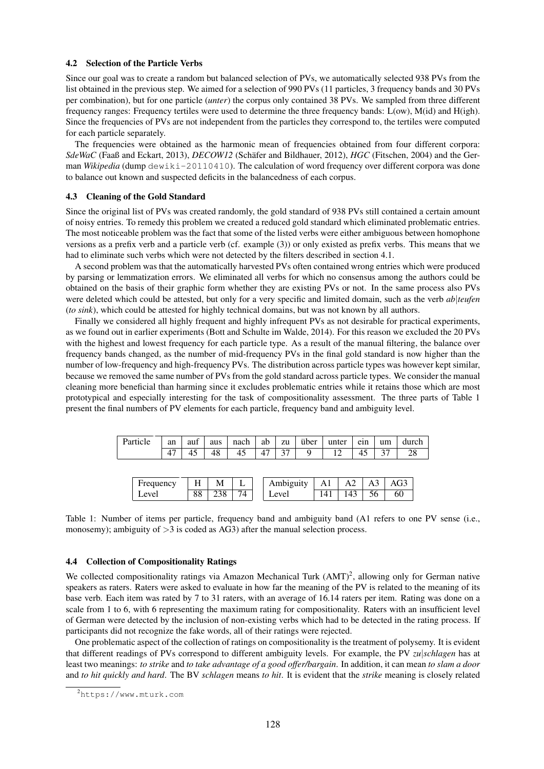#### 4.2 Selection of the Particle Verbs

Since our goal was to create a random but balanced selection of PVs, we automatically selected 938 PVs from the list obtained in the previous step. We aimed for a selection of 990 PVs (11 particles, 3 frequency bands and 30 PVs per combination), but for one particle (*unter*) the corpus only contained 38 PVs. We sampled from three different frequency ranges: Frequency tertiles were used to determine the three frequency bands: L(ow), M(id) and H(igh). Since the frequencies of PVs are not independent from the particles they correspond to, the tertiles were computed for each particle separately.

The frequencies were obtained as the harmonic mean of frequencies obtained from four different corpora: *SdeWaC* (Faaß and Eckart, 2013), *DECOW12* (Schäfer and Bildhauer, 2012), *HGC* (Fitschen, 2004) and the German *Wikipedia* (dump dewiki-20110410). The calculation of word frequency over different corpora was done to balance out known and suspected deficits in the balancedness of each corpus.

#### 4.3 Cleaning of the Gold Standard

Since the original list of PVs was created randomly, the gold standard of 938 PVs still contained a certain amount of noisy entries. To remedy this problem we created a reduced gold standard which eliminated problematic entries. The most noticeable problem was the fact that some of the listed verbs were either ambiguous between homophone versions as a prefix verb and a particle verb (cf. example (3)) or only existed as prefix verbs. This means that we had to eliminate such verbs which were not detected by the filters described in section 4.1.

A second problem was that the automatically harvested PVs often contained wrong entries which were produced by parsing or lemmatization errors. We eliminated all verbs for which no consensus among the authors could be obtained on the basis of their graphic form whether they are existing PVs or not. In the same process also PVs were deleted which could be attested, but only for a very specific and limited domain, such as the verb *ab*|teufen (*to sink*), which could be attested for highly technical domains, but was not known by all authors.

Finally we considered all highly frequent and highly infrequent PVs as not desirable for practical experiments, as we found out in earlier experiments (Bott and Schulte im Walde, 2014). For this reason we excluded the 20 PVs with the highest and lowest frequency for each particle type. As a result of the manual filtering, the balance over frequency bands changed, as the number of mid-frequency PVs in the final gold standard is now higher than the number of low-frequency and high-frequency PVs. The distribution across particle types was however kept similar, because we removed the same number of PVs from the gold standard across particle types. We consider the manual cleaning more beneficial than harming since it excludes problematic entries while it retains those which are most prototypical and especially interesting for the task of compositionality assessment. The three parts of Table 1 present the final numbers of PV elements for each particle, frequency band and ambiguity level.

| Particle  | an | auf | aus | nach | ab | zu        | über |     | unter | ein            | um | durch |  |
|-----------|----|-----|-----|------|----|-----------|------|-----|-------|----------------|----|-------|--|
|           | 47 |     | 48  | 45   |    |           | Q    |     |       |                |    | 28    |  |
|           |    |     |     |      |    |           |      |     |       |                |    |       |  |
|           |    |     |     |      |    |           |      |     |       |                |    |       |  |
| Frequency |    | Н   |     | М    |    | Ambiguity |      | A1  | A2    | A <sub>3</sub> |    | AG3   |  |
| Level     |    | 88  | 238 | 74   |    | Level     |      | 141 | 143   | 56             |    | 60    |  |

Table 1: Number of items per particle, frequency band and ambiguity band (A1 refers to one PV sense (i.e., monosemy); ambiguity of  $>3$  is coded as AG3) after the manual selection process.

#### 4.4 Collection of Compositionality Ratings

We collected compositionality ratings via Amazon Mechanical Turk (AMT)<sup>2</sup>, allowing only for German native speakers as raters. Raters were asked to evaluate in how far the meaning of the PV is related to the meaning of its base verb. Each item was rated by 7 to 31 raters, with an average of 16.14 raters per item. Rating was done on a scale from 1 to 6, with 6 representing the maximum rating for compositionality. Raters with an insufficient level of German were detected by the inclusion of non-existing verbs which had to be detected in the rating process. If participants did not recognize the fake words, all of their ratings were rejected.

One problematic aspect of the collection of ratings on compositionality is the treatment of polysemy. It is evident that different readings of PVs correspond to different ambiguity levels. For example, the PV *zu*|*schlagen* has at least two meanings: *to strike* and *to take advantage of a good offer/bargain*. In addition, it can mean *to slam a door* and *to hit quickly and hard*. The BV *schlagen* means *to hit*. It is evident that the *strike* meaning is closely related

<sup>2</sup>https://www.mturk.com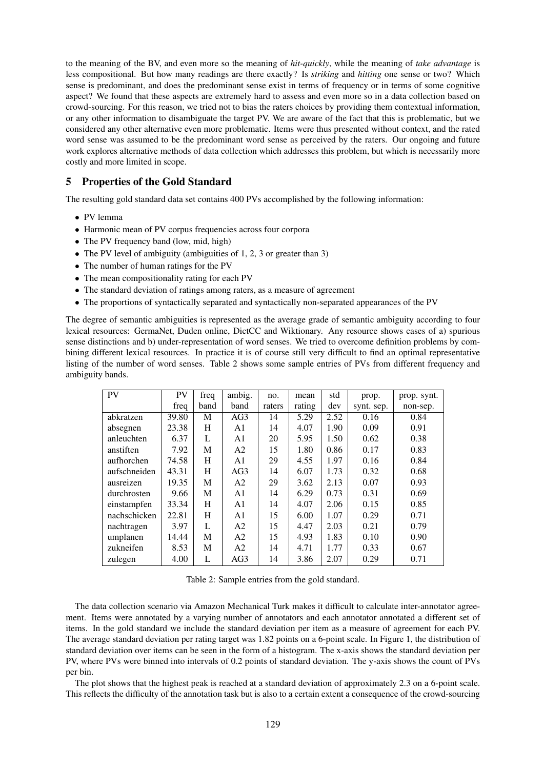to the meaning of the BV, and even more so the meaning of *hit-quickly*, while the meaning of *take advantage* is less compositional. But how many readings are there exactly? Is *striking* and *hitting* one sense or two? Which sense is predominant, and does the predominant sense exist in terms of frequency or in terms of some cognitive aspect? We found that these aspects are extremely hard to assess and even more so in a data collection based on crowd-sourcing. For this reason, we tried not to bias the raters choices by providing them contextual information, or any other information to disambiguate the target PV. We are aware of the fact that this is problematic, but we considered any other alternative even more problematic. Items were thus presented without context, and the rated word sense was assumed to be the predominant word sense as perceived by the raters. Our ongoing and future work explores alternative methods of data collection which addresses this problem, but which is necessarily more costly and more limited in scope.

## 5 Properties of the Gold Standard

The resulting gold standard data set contains 400 PVs accomplished by the following information:

- PV lemma
- Harmonic mean of PV corpus frequencies across four corpora
- The PV frequency band (low, mid, high)
- The PV level of ambiguity (ambiguities of 1, 2, 3 or greater than 3)
- The number of human ratings for the PV
- The mean compositionality rating for each PV
- The standard deviation of ratings among raters, as a measure of agreement
- The proportions of syntactically separated and syntactically non-separated appearances of the PV

The degree of semantic ambiguities is represented as the average grade of semantic ambiguity according to four lexical resources: GermaNet, Duden online, DictCC and Wiktionary. Any resource shows cases of a) spurious sense distinctions and b) under-representation of word senses. We tried to overcome definition problems by combining different lexical resources. In practice it is of course still very difficult to find an optimal representative listing of the number of word senses. Table 2 shows some sample entries of PVs from different frequency and ambiguity bands.

| <b>PV</b>    | <b>PV</b> | freq | ambig.          | no.    | mean   | std  | prop.      | prop. synt. |
|--------------|-----------|------|-----------------|--------|--------|------|------------|-------------|
|              | freq      | band | band            | raters | rating | dev  | synt. sep. | non-sep.    |
| abkratzen    | 39.80     | M    | AG <sub>3</sub> | 14     | 5.29   | 2.52 | 0.16       | 0.84        |
| absegnen     | 23.38     | H    | A1              | 14     | 4.07   | 1.90 | 0.09       | 0.91        |
| anleuchten   | 6.37      | L    | A <sub>1</sub>  | 20     | 5.95   | 1.50 | 0.62       | 0.38        |
| anstiften    | 7.92      | M    | A <sub>2</sub>  | 15     | 1.80   | 0.86 | 0.17       | 0.83        |
| aufhorchen   | 74.58     | H    | A <sub>1</sub>  | 29     | 4.55   | 1.97 | 0.16       | 0.84        |
| aufschneiden | 43.31     | H    | AG3             | 14     | 6.07   | 1.73 | 0.32       | 0.68        |
| ausreizen    | 19.35     | M    | A <sub>2</sub>  | 29     | 3.62   | 2.13 | 0.07       | 0.93        |
| durchrosten  | 9.66      | M    | A <sub>1</sub>  | 14     | 6.29   | 0.73 | 0.31       | 0.69        |
| einstampfen  | 33.34     | H    | A <sub>1</sub>  | 14     | 4.07   | 2.06 | 0.15       | 0.85        |
| nachschicken | 22.81     | H    | A <sub>1</sub>  | 15     | 6.00   | 1.07 | 0.29       | 0.71        |
| nachtragen   | 3.97      | L    | A <sub>2</sub>  | 15     | 4.47   | 2.03 | 0.21       | 0.79        |
| umplanen     | 14.44     | M    | A <sub>2</sub>  | 15     | 4.93   | 1.83 | 0.10       | 0.90        |
| zukneifen    | 8.53      | M    | A <sub>2</sub>  | 14     | 4.71   | 1.77 | 0.33       | 0.67        |
| zulegen      | 4.00      | L    | AG3             | 14     | 3.86   | 2.07 | 0.29       | 0.71        |

Table 2: Sample entries from the gold standard.

The data collection scenario via Amazon Mechanical Turk makes it difficult to calculate inter-annotator agreement. Items were annotated by a varying number of annotators and each annotator annotated a different set of items. In the gold standard we include the standard deviation per item as a measure of agreement for each PV. The average standard deviation per rating target was 1.82 points on a 6-point scale. In Figure 1, the distribution of standard deviation over items can be seen in the form of a histogram. The x-axis shows the standard deviation per PV, where PVs were binned into intervals of 0.2 points of standard deviation. The y-axis shows the count of PVs per bin.

The plot shows that the highest peak is reached at a standard deviation of approximately 2.3 on a 6-point scale. This reflects the difficulty of the annotation task but is also to a certain extent a consequence of the crowd-sourcing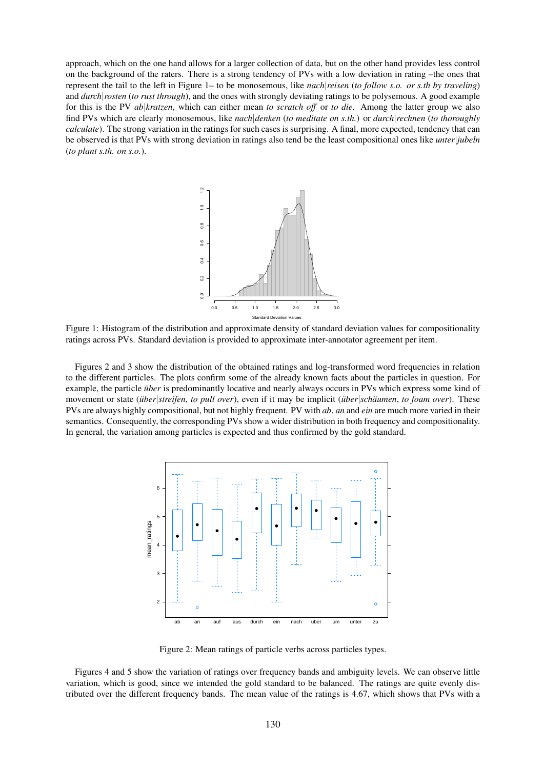approach, which on the one hand allows for a larger collection of data, but on the other hand provides less control on the background of the raters. There is a strong tendency of PVs with a low deviation in rating –the ones that represent the tail to the left in Figure 1– to be monosemous, like *nach*|*reisen* (*to follow s.o. or s.th by traveling*) and *durch*|*rosten* (*to rust through*), and the ones with strongly deviating ratings to be polysemous. A good example for this is the PV *ab*|*kratzen*, which can either mean *to scratch off* or *to die*. Among the latter group we also find PVs which are clearly monosemous, like *nach*|*denken* (*to meditate on s.th.*) or *durch*|*rechnen* (*to thoroughly calculate*). The strong variation in the ratings for such cases is surprising. A final, more expected, tendency that can be observed is that PVs with strong deviation in ratings also tend be the least compositional ones like *unter*|*jubeln* (*to plant s.th. on s.o.*).



Figure 1: Histogram of the distribution and approximate density of standard deviation values for compositionality ratings across PVs. Standard deviation is provided to approximate inter-annotator agreement per item.

Figures 2 and 3 show the distribution of the obtained ratings and log-transformed word frequencies in relation to the different particles. The plots confirm some of the already known facts about the particles in question. For example, the particle *über* is predominantly locative and nearly always occurs in PVs which express some kind of movement or state (*über*|*streifen*, *to pull over*), even if it may be implicit (*über*|*schäumen*, *to foam over*). These PVs are always highly compositional, but not highly frequent. PV with *ab*, *an* and *ein* are much more varied in their semantics. Consequently, the corresponding PVs show a wider distribution in both frequency and compositionality. In general, the variation among particles is expected and thus confirmed by the gold standard.



Figure 2: Mean ratings of particle verbs across particles types.

Figures 4 and 5 show the variation of ratings over frequency bands and ambiguity levels. We can observe little variation, which is good, since we intended the gold standard to be balanced. The ratings are quite evenly distributed over the different frequency bands. The mean value of the ratings is 4.67, which shows that PVs with a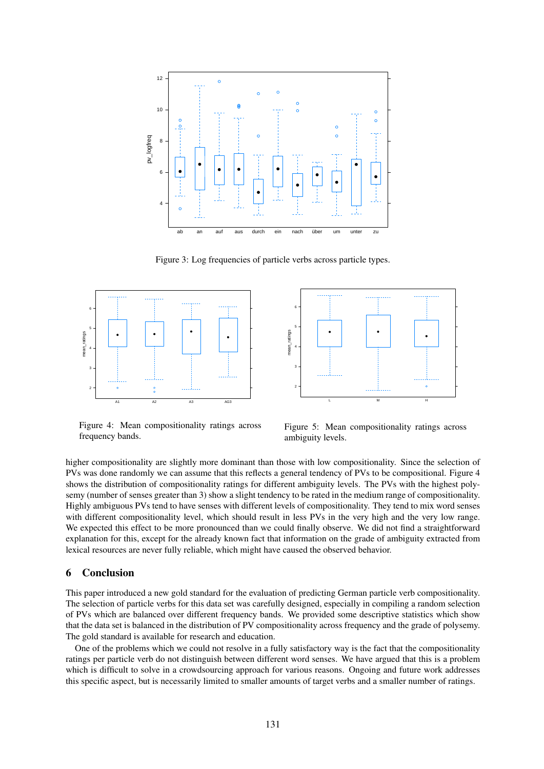

Figure 3: Log frequencies of particle verbs across particle types.





Figure 4: Mean compositionality ratings across frequency bands.

Figure 5: Mean compositionality ratings across ambiguity levels.

higher compositionality are slightly more dominant than those with low compositionality. Since the selection of PVs was done randomly we can assume that this reflects a general tendency of PVs to be compositional. Figure 4 shows the distribution of compositionality ratings for different ambiguity levels. The PVs with the highest polysemy (number of senses greater than 3) show a slight tendency to be rated in the medium range of compositionality. Highly ambiguous PVs tend to have senses with different levels of compositionality. They tend to mix word senses with different compositionality level, which should result in less PVs in the very high and the very low range. We expected this effect to be more pronounced than we could finally observe. We did not find a straightforward explanation for this, except for the already known fact that information on the grade of ambiguity extracted from lexical resources are never fully reliable, which might have caused the observed behavior.

### 6 Conclusion

This paper introduced a new gold standard for the evaluation of predicting German particle verb compositionality. The selection of particle verbs for this data set was carefully designed, especially in compiling a random selection of PVs which are balanced over different frequency bands. We provided some descriptive statistics which show that the data set is balanced in the distribution of PV compositionality across frequency and the grade of polysemy. The gold standard is available for research and education.

One of the problems which we could not resolve in a fully satisfactory way is the fact that the compositionality ratings per particle verb do not distinguish between different word senses. We have argued that this is a problem which is difficult to solve in a crowdsourcing approach for various reasons. Ongoing and future work addresses this specific aspect, but is necessarily limited to smaller amounts of target verbs and a smaller number of ratings.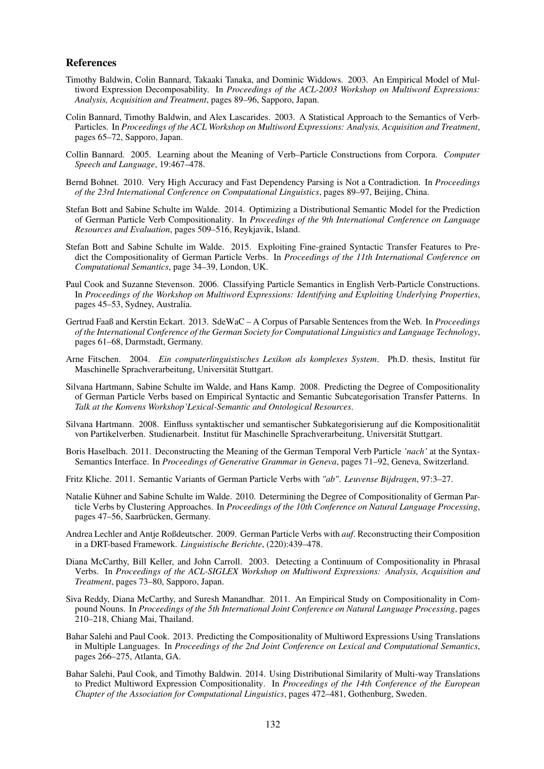### References

- Timothy Baldwin, Colin Bannard, Takaaki Tanaka, and Dominic Widdows. 2003. An Empirical Model of Multiword Expression Decomposability. In *Proceedings of the ACL-2003 Workshop on Multiword Expressions: Analysis, Acquisition and Treatment*, pages 89–96, Sapporo, Japan.
- Colin Bannard, Timothy Baldwin, and Alex Lascarides. 2003. A Statistical Approach to the Semantics of Verb-Particles. In *Proceedings of the ACL Workshop on Multiword Expressions: Analysis, Acquisition and Treatment*, pages 65–72, Sapporo, Japan.
- Collin Bannard. 2005. Learning about the Meaning of Verb–Particle Constructions from Corpora. *Computer Speech and Language*, 19:467–478.
- Bernd Bohnet. 2010. Very High Accuracy and Fast Dependency Parsing is Not a Contradiction. In *Proceedings of the 23rd International Conference on Computational Linguistics*, pages 89–97, Beijing, China.
- Stefan Bott and Sabine Schulte im Walde. 2014. Optimizing a Distributional Semantic Model for the Prediction of German Particle Verb Compositionality. In *Proceedings of the 9th International Conference on Language Resources and Evaluation*, pages 509–516, Reykjavik, Island.
- Stefan Bott and Sabine Schulte im Walde. 2015. Exploiting Fine-grained Syntactic Transfer Features to Predict the Compositionality of German Particle Verbs. In *Proceedings of the 11th International Conference on Computational Semantics*, page 34–39, London, UK.
- Paul Cook and Suzanne Stevenson. 2006. Classifying Particle Semantics in English Verb-Particle Constructions. In *Proceedings of the Workshop on Multiword Expressions: Identifying and Exploiting Underlying Properties*, pages 45–53, Sydney, Australia.
- Gertrud Faaß and Kerstin Eckart. 2013. SdeWaC A Corpus of Parsable Sentences from the Web. In *Proceedings of the International Conference of the German Society for Computational Linguistics and Language Technology*, pages 61–68, Darmstadt, Germany.
- Arne Fitschen. 2004. *Ein computerlinguistisches Lexikon als komplexes System*. Ph.D. thesis, Institut für Maschinelle Sprachverarbeitung, Universität Stuttgart.
- Silvana Hartmann, Sabine Schulte im Walde, and Hans Kamp. 2008. Predicting the Degree of Compositionality of German Particle Verbs based on Empirical Syntactic and Semantic Subcategorisation Transfer Patterns. In *Talk at the Konvens Workshop'Lexical-Semantic and Ontological Resources*.
- Silvana Hartmann. 2008. Einfluss syntaktischer und semantischer Subkategorisierung auf die Kompositionalität von Partikelverben. Studienarbeit. Institut für Maschinelle Sprachverarbeitung, Universität Stuttgart.
- Boris Haselbach. 2011. Deconstructing the Meaning of the German Temporal Verb Particle *'nach'* at the Syntax-Semantics Interface. In *Proceedings of Generative Grammar in Geneva*, pages 71–92, Geneva, Switzerland.
- Fritz Kliche. 2011. Semantic Variants of German Particle Verbs with *"ab"*. *Leuvense Bijdragen*, 97:3–27.
- Natalie Kühner and Sabine Schulte im Walde. 2010. Determining the Degree of Compositionality of German Particle Verbs by Clustering Approaches. In *Proceedings of the 10th Conference on Natural Language Processing*, pages 47–56, Saarbrücken, Germany.
- Andrea Lechler and Antje Roßdeutscher. 2009. German Particle Verbs with *auf*. Reconstructing their Composition in a DRT-based Framework. *Linguistische Berichte*, (220):439–478.
- Diana McCarthy, Bill Keller, and John Carroll. 2003. Detecting a Continuum of Compositionality in Phrasal Verbs. In *Proceedings of the ACL-SIGLEX Workshop on Multiword Expressions: Analysis, Acquisition and Treatment*, pages 73–80, Sapporo, Japan.
- Siva Reddy, Diana McCarthy, and Suresh Manandhar. 2011. An Empirical Study on Compositionality in Compound Nouns. In *Proceedings of the 5th International Joint Conference on Natural Language Processing*, pages 210–218, Chiang Mai, Thailand.
- Bahar Salehi and Paul Cook. 2013. Predicting the Compositionality of Multiword Expressions Using Translations in Multiple Languages. In *Proceedings of the 2nd Joint Conference on Lexical and Computational Semantics*, pages 266–275, Atlanta, GA.
- Bahar Salehi, Paul Cook, and Timothy Baldwin. 2014. Using Distributional Similarity of Multi-way Translations to Predict Multiword Expression Compositionality. In *Proceedings of the 14th Conference of the European Chapter of the Association for Computational Linguistics*, pages 472–481, Gothenburg, Sweden.